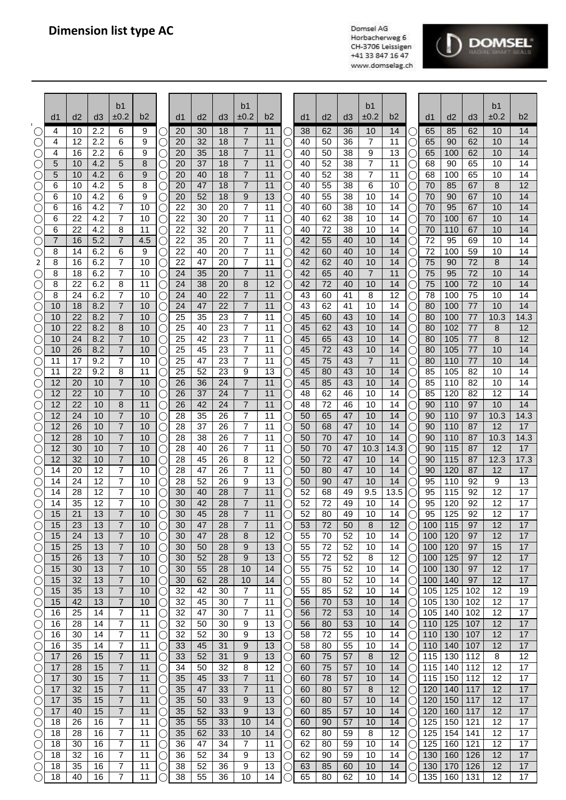

|                 | d1       | d2       | d3         | b <sub>1</sub><br>±0.2           | b2       |                   | d <sub>1</sub> | d2       | d <sub>3</sub> | b1<br>±0.2                       | b2       |     | d1       | d <sub>2</sub> | d3       | b <sub>1</sub><br>±0.2 | b2         |                      | d1         | d2         | d3         | b1<br>±0.2 | b2         |
|-----------------|----------|----------|------------|----------------------------------|----------|-------------------|----------------|----------|----------------|----------------------------------|----------|-----|----------|----------------|----------|------------------------|------------|----------------------|------------|------------|------------|------------|------------|
|                 | 4        | 10       | 2.2        | 6                                | 9        |                   | 20             | 30       | 18             | 7                                | 11       |     | 38       | 62             | 36       | 10                     | 14         | C                    | 65         | 85         | 62         | 10         | 14         |
|                 | 4        | 12       | 2.2        | 6                                | 9        |                   | 20             | 32       | 18             | 7                                | 11       |     | 40       | 50             | 36       | 7                      | 11         | C                    | 65         | 90         | 62         | 10         | 14         |
|                 | 4        | 16       | 2.2        | 6                                | 9        | U                 | 20             | 35<br>37 | 18<br>18       | 7<br>$\overline{7}$              | 11       |     | 40       | 50             | 38       | 9<br>7                 | 13<br>11   | Ċ                    | 65         | 100        | 62         | 10         | 14         |
| ( )<br>С.       | 5<br>5   | 10<br>10 | 4.2<br>4.2 | 5<br>6                           | 8<br>9   | O<br>O            | 20<br>20       | 40       | 18             | $\overline{7}$                   | 11<br>11 |     | 40<br>40 | 52<br>52       | 38<br>38 | 7                      | 11         | Ċ<br>С               | 68<br>68   | 90<br>100  | 65<br>65   | 10<br>10   | 14<br>14   |
| С.              | 6        | 10       | 4.2        | 5                                | 8        | C                 | 20             | 47       | 18             | $\overline{7}$                   | 11       |     | 40       | 55             | 38       | 6                      | 10         | С                    | 70         | 85         | 67         | 8          | 12         |
| O               | 6        | 10       | 4.2        | 6                                | 9        |                   | 20             | 52       | 18             | 9                                | 13       |     | 40       | 55             | 38       | 10                     | 14         | С                    | 70         | 90         | 67         | 10         | 14         |
| O               | 6        | 16       | 4.2        | 7                                | 10       |                   | 22             | 30       | 20             | $\overline{7}$                   | 11       |     | 40       | 60             | 38       | 10                     | 14         | C                    | 70         | 95         | 67         | 10         | 14         |
| C               | 6<br>6   | 22<br>22 | 4.2<br>4.2 | 7<br>8                           | 10<br>11 |                   | 22<br>22       | 30<br>32 | 20<br>20       | $\overline{7}$<br>$\overline{7}$ | 11<br>11 |     | 40<br>40 | 62<br>72       | 38<br>38 | 10<br>10               | 14<br>14   | С                    | 70<br>70   | 100<br>110 | 67<br>67   | 10<br>10   | 14<br>14   |
| $(\ \ )$        | 7        | 16       | 5.2        | $\overline{7}$                   | 4.5      | Э<br>O            | 22             | 35       | 20             | 7                                | 11       |     | 42       | 55             | 40       | 10                     | 14         | С<br>○               | 72         | 95         | 69         | 10         | 14         |
|                 | 8        | 14       | 6.2        | 6                                | 9        | O                 | 22             | 40       | 20             | 7                                | 11       |     | 42       | 60             | 40       | 10                     | 14         | С                    | 72         | 100        | 59         | 10         | 14         |
| 2               | 8        | 16       | 6.2        | 7                                | 10       |                   | 22             | 47       | 20             | 7                                | 11       |     | 42       | 62             | 40       | 10                     | 14         | С                    | 75         | 90         | 72         | 8          | 14         |
|                 | 8        | 18       | 6.2        | 7                                | 10       |                   | 24             | 35       | 20             | 7                                | 11       |     | 42       | 65             | 40       | $\overline{7}$         | 11         | C                    | 75         | 95         | 72         | 10         | 14         |
| O               | 8<br>8   | 22<br>24 | 6.2<br>6.2 | 8<br>7                           | 11<br>10 |                   | 24<br>24       | 38<br>40 | 20<br>22       | 8<br>$\overline{7}$              | 12<br>11 |     | 42<br>43 | 72             | 40<br>41 | 10<br>8                | 14<br>12   | Ċ                    | 75<br>78   | 100<br>100 | 72<br>75   | 10<br>10   | 14<br>14   |
|                 | 10       | 18       | 8.2        | $\overline{7}$                   | 10       | U<br>O            | 24             | 47       | 22             | $\overline{7}$                   | 11       |     | 43       | 60<br>62       | 41       | 10                     | 14         | Ċ<br>Ċ               | 80         | 100        | 77         | 10         | 14         |
|                 | 10       | 22       | 8.2        | 7                                | 10       | С                 | 25             | 35       | 23             | $\overline{7}$                   | 11       |     | 45       | 60             | 43       | 10                     | 14         | С                    | 80         | 100        | 77         | 10.3       | 14.3       |
|                 | 10       | 22       | 8.2        | 8                                | 10       | С                 | 25             | 40       | 23             | 7                                | 11       |     | 45       | 62             | 43       | 10                     | 14         | С                    | 80         | 102        | 77         | 8          | 12         |
|                 | 10       | 24       | 8.2        | $\overline{7}$                   | 10       |                   | 25             | 42       | 23             | 7                                | 11       |     | 45       | 65             | 43       | 10                     | 14         | С                    | 80         | 105        | 77         | 8          | 12         |
|                 | 10<br>11 | 26<br>17 | 8.2<br>9.2 | $\overline{7}$<br>7              | 10<br>10 |                   | 25<br>25       | 45<br>47 | 23<br>23       | $\overline{7}$<br>7              | 11<br>11 |     | 45<br>45 | 72<br>75       | 43<br>43 | 10<br>7                | 14<br>11   | С                    | 80<br>80   | 105<br>110 | 77<br>77   | 10<br>10   | 14<br>14   |
| C               | 11       | 22       | 9.2        | 8                                | 11       | 0                 | 25             | 52       | 23             | 9                                | 13       |     | 45       | 80             | 43       | 10                     | 14         | С<br>С               | 85         | 105        | 82         | 10         | 14         |
|                 | 12       | 20       | 10         | 7                                | 10       |                   | 26             | 36       | 24             | $\overline{7}$                   | 11       |     | 45       | 85             | 43       | 10                     | 14         | С                    | 85         | 110        | 82         | 10         | 14         |
|                 | 12       | 22       | 10         | 7                                | 10       | C                 | 26             | 37       | 24             | 7                                | 11       |     | 48       | 62             | 46       | 10                     | 14         | С                    | 85         | 120        | 82         | 12         | 14         |
|                 | 12       | 22       | 10         | 8                                | 11       | O                 | 26             | 42       | 24             | 7                                | 11       |     | 48       | 72             | 46       | 10                     | 14         | C                    | 90         | 110        | 97         | 10         | 14         |
|                 | 12       | 24       | 10         | $\overline{7}$<br>$\overline{7}$ | 10       | O                 | 28             | 35       | 26             | $\overline{7}$<br>$\overline{7}$ | 11       |     | 50       | 65             | 47       | 10                     | 14         | C                    | 90         | 110        | 97         | 10.3       | 14.3       |
|                 | 12<br>12 | 26<br>28 | 10<br>10   | 7                                | 10<br>10 | U<br>C            | 28<br>28       | 37<br>38 | 26<br>26       | 7                                | 11<br>11 |     | 50<br>50 | 68<br>70       | 47<br>47 | 10<br>10               | 14<br>14   | Ċ<br>C               | 90<br>90   | 110<br>110 | 87<br>87   | 12<br>10.3 | 17<br>14.3 |
|                 | 12       | 30       | 10         | $\overline{7}$                   | 10       | С                 | 28             | 40       | 26             | $\overline{7}$                   | 11       |     | 50       | 70             | 47       | 10.3                   | 14.3       | С                    | 90         | 115        | 87         | 12         | 17         |
|                 | 12       | 32       | 10         | $\overline{7}$                   | 10       | С                 | 28             | 45       | 26             | 8                                | 12       |     | 50       | 72             | 47       | 10                     | 14         | С                    | 90         | 115        | 87         | 12.3       | 17.3       |
|                 | 14       | 20       | 12         | $\overline{7}$                   | 10       | C                 | 28             | 47       | 26             | 7                                | 11       |     | 50       | 80             | 47       | 10                     | 14         | С                    | 90         | 120        | 87         | 12         | 17         |
|                 | 14<br>14 | 24<br>28 | 12<br>12   | 7<br>7                           | 10<br>10 |                   | 28<br>30       | 52<br>40 | 26<br>28       | 9<br>$\overline{7}$              | 13<br>11 |     | 50<br>52 | 90<br>68       | 47<br>49 | 10<br>9.5              | 14<br>13.5 | С                    | 95<br>95   | 110<br>115 | 92<br>92   | 9<br>12    | 13<br>17   |
|                 | 14       | 35       | 12         | 7                                | 10       |                   | 30             | 42       | 28             | $\overline{7}$                   | 11       |     | 52       | 72             | 49       | 10                     | 14         | С<br>С               | 95         | 120        | 92         | 12         | 17         |
| (               | 15       | 21       | 13         | 7                                | 10       |                   | 30             | 45       | 28             | 7                                | 11       |     | 52       | 80             | 49       | $10$                   | 14         |                      | 95         | 125        | 92         | 12         | 17         |
|                 | 15       | 23       | 13         | 7                                | 10       | С                 | 30             | 47       | 28             | 7                                | 11       |     | 53       | 72             | 50       | 8                      | 12         |                      | 100        | 115        | 97         | 12         | 17         |
|                 | 15       | 24       | 13         | 7                                | 10       | O                 | 30             | 47       | 28             | 8                                | 12       |     | 55       | 70             | 52       | 10                     | 14         | ()                   | 100        | 120        | 97         | 12         | 17         |
|                 | 15<br>15 | 25<br>26 | 13<br>13   | 7<br>7                           | 10<br>10 | C                 | 30<br>30       | 50<br>52 | 28<br>28       | 9<br>9                           | 13<br>13 |     | 55<br>55 | 72<br>72       | 52<br>52 | 10<br>8                | 14<br>12   | C                    | 100<br>100 | 120<br>125 | 97<br>97   | 15<br>12   | 17<br>17   |
| С<br>С          | 15       | 30       | 13         | 7                                | 10       | С<br>U            | 30             | 55       | 28             | 10                               | 14       |     | 55       | 75             | 52       | 10                     | 14         | C<br>C               | 100        | 130        | 97         | 12         | 17         |
| C               | 15       | 32       | 13         | $\overline{7}$                   | 10       | U                 | 30             | 62       | 28             | 10                               | 14       | Ć   | 55       | 80             | 52       | 10                     | 14         | ( )                  | 100        | 140        | 97         | 12         | 17         |
| ⊖               | 15       | 35       | 13         | 7                                | 10       | С                 | 32             | 42       | 30             | 7                                | 11       | ( . | 55       | 85             | 52       | 10                     | 14         | О                    | 105        | 125        | 102        | 12         | 19         |
| $\left(\right)$ | 15       | 42       | 13         | $\overline{7}$                   | 10       | О                 | 32             | 45       | 30             | 7                                | 11       | U   | 56       | 70             | 53       | 10                     | 14         | О                    | 105        | 130        | 102        | 12         | 17         |
| O               | 16<br>16 | 25<br>28 | 14<br>14   | $\overline{7}$<br>7              | 11<br>11 | С<br>С            | 32<br>32       | 47<br>50 | 30<br>30       | 7<br>9                           | 11<br>13 |     | 56<br>56 | 72<br>80       | 53<br>53 | 10<br>10               | 14<br>14   | O<br>О               | 105<br>110 | 140<br>125 | 102<br>107 | 12<br>12   | 17<br>17   |
| C               | 16       | 30       | 14         | 7                                | 11       | C                 | 32             | 52       | 30             | 9                                | 13       |     | 58       | 72             | 55       | 10                     | 14         | О                    | 110        | 130        | 107        | 12         | 17         |
| ⊖               | 16       | 35       | 14         | 7                                | 11       |                   | 33             | 45       | 31             | 9                                | 13       |     | 58       | 80             | 55       | 10                     | 14         | ()                   | 110        | 140        | 107        | 12         | 17         |
| ⊖               | 17       | 26       | 15         | 7                                | 11       | $\left(\ \right)$ | 33             | 52       | 31             | 9                                | 13       |     | 60       | 75             | 57       | 8                      | 12         | ()                   | 115        | 130        | 112        | 8          | 12         |
|                 | 17       | 28       | 15         | 7                                | 11       | C                 | 34             | 50       | 32             | 8                                | 12       |     | 60       | 75             | 57       | 10                     | 14         | $\left(\right)$      | 115        | 140        | 112        | 12         | 17         |
| C<br>C          | 17<br>17 | 30<br>32 | 15<br>15   | 7<br>7                           | 11<br>11 | U                 | 35<br>35       | 45<br>47 | 33<br>33       | 7<br>7                           | 11<br>11 |     | 60<br>60 | 78<br>80       | 57<br>57 | 10<br>8                | 14<br>12   | $\left(\right)$<br>O | 115<br>120 | 150<br>140 | 112<br>117 | 12<br>12   | 17<br>17   |
| O               | 17       | 35       | 15         | $\overline{7}$                   | 11       | U                 | 35             | 50       | 33             | 9                                | 13       |     | 60       | 80             | 57       | 10                     | 14         | O                    | 120        | 150        | 117        | 12         | 17         |
| С               | 17       | 40       | 15         | 7                                | 11       | U                 | 35             | 52       | 33             | 9                                | 13       |     | 60       | 85             | 57       | 10                     | 14         | O                    | 120        | 160        | 117        | 12         | 17         |
| ⊖               | 18       | 26       | 16         | 7                                | 11       | O                 | 35             | 55       | 33             | 10                               | 14       | (.  | 60       | 90             | 57       | 10                     | 14         | О                    | 125        | 150        | 121        | 12         | 17         |
| $\bigcirc$      | 18       | 28       | 16         | 7                                | 11       | О                 | 35             | 62       | 33             | 10                               | 14       | l,  | 62       | 80             | 59       | 8                      | 12         | О                    | 125        | 154        | 141        | 12         | 17         |
| $\bigcirc$<br>C | 18<br>18 | 30<br>32 | 16<br>16   | 7<br>7                           | 11<br>11 | О<br>С            | 36<br>36       | 47<br>52 | 34<br>34       | 7<br>9                           | 11<br>13 |     | 62<br>62 | 80<br>90       | 59<br>59 | 10<br>10               | 14<br>14   | О<br>О               | 125<br>130 | 160<br>160 | 121<br>126 | 12<br>12   | 17<br>17   |
|                 | 18       | 35       | 16         | 7                                | 11       |                   | 38             | 52       | 36             | 9                                | 13       |     | 63       | 85             | 60       | 10                     | 14         |                      | 130        | 170        | 126        | 12         | 17         |
| С               | 18       | 40       | 16         | 7                                | 11       |                   | 38             | 55       | 36             | 10                               | 14       |     | 65       | 80             | 62       | 10                     | 14         |                      | 135        | 160        | 131        | 12         | 17         |